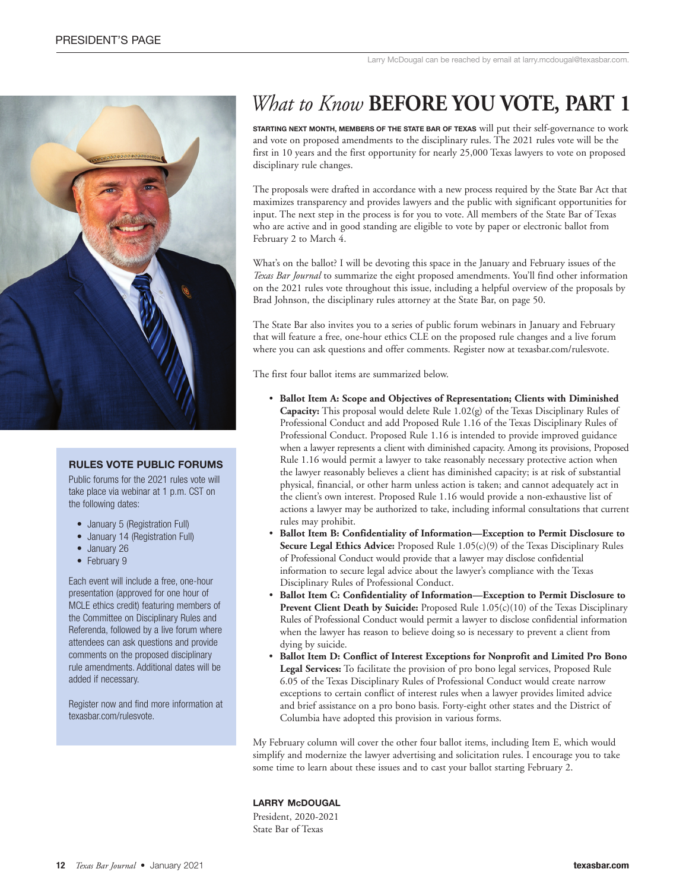

### **RULES VOTE PUBLIC FORUMS**

Public forums for the 2021 rules vote will take place via webinar at 1 p.m. CST on the following dates:

- January 5 (Registration Full)
- January 14 (Registration Full)
- January 26
- February 9

Each event will include a free, one-hour presentation (approved for one hour of MCLE ethics credit) featuring members of the Committee on Disciplinary Rules and Referenda, followed by a live forum where attendees can ask questions and provide comments on the proposed disciplinary rule amendments. Additional dates will be added if necessary.

Register now and find more information at texasbar.com/rulesvote.

# *What to Know* **BEFORE YOU VOTE, PART 1**

**Starting next month, memberS of the State bar of texaS** will put their self-governance to work and vote on proposed amendments to the disciplinary rules. The 2021 rules vote will be the first in 10 years and the first opportunity for nearly 25,000 Texas lawyers to vote on proposed disciplinary rule changes.

The proposals were drafted in accordance with a new process required by the State Bar Act that maximizes transparency and provides lawyers and the public with significant opportunities for input. The next step in the process is for you to vote. All members of the State Bar of Texas who are active and in good standing are eligible to vote by paper or electronic ballot from February 2 to March 4.

What's on the ballot? I will be devoting this space in the January and February issues of the *Texas Bar Journal* to summarize the eight proposed amendments. You'll find other information on the 2021 rules vote throughout this issue, including a helpful overview of the proposals by Brad Johnson, the disciplinary rules attorney at the State Bar, on page 50.

The State Bar also invites you to a series of public forum webinars in January and February that will feature a free, one-hour ethics CLE on the proposed rule changes and a live forum where you can ask questions and offer comments. Register now at texasbar.com/rulesvote.

The first four ballot items are summarized below.

- **Ballot Item A: Scope and Objectives of Representation; Clients with Diminished Capacity:** This proposal would delete Rule 1.02(g) of the Texas Disciplinary Rules of Professional Conduct and add Proposed Rule 1.16 of the Texas Disciplinary Rules of Professional Conduct. Proposed Rule 1.16 is intended to provide improved guidance when a lawyer represents a client with diminished capacity. Among its provisions, Proposed Rule 1.16 would permit a lawyer to take reasonably necessary protective action when the lawyer reasonably believes a client has diminished capacity; is at risk of substantial physical, financial, or other harm unless action is taken; and cannot adequately act in the client's own interest. Proposed Rule 1.16 would provide a non-exhaustive list of actions a lawyer may be authorized to take, including informal consultations that current rules may prohibit.
- **Ballot Item B: Confidentiality of Information—Exception to Permit Disclosure to Secure Legal Ethics Advice:** Proposed Rule 1.05(c)(9) of the Texas Disciplinary Rules of Professional Conduct would provide that a lawyer may disclose confidential information to secure legal advice about the lawyer's compliance with the Texas Disciplinary Rules of Professional Conduct.
- **Ballot Item C: Confidentiality of Information—Exception to Permit Disclosure to Prevent Client Death by Suicide:** Proposed Rule 1.05(c)(10) of the Texas Disciplinary Rules of Professional Conduct would permit a lawyer to disclose confidential information when the lawyer has reason to believe doing so is necessary to prevent a client from dying by suicide.
- **Ballot Item D: Conflict of Interest Exceptions for Nonprofit and Limited Pro Bono Legal Services:** To facilitate the provision of pro bono legal services, Proposed Rule 6.05 of the Texas Disciplinary Rules of Professional Conduct would create narrow exceptions to certain conflict of interest rules when a lawyer provides limited advice and brief assistance on a pro bono basis. Forty-eight other states and the District of Columbia have adopted this provision in various forms.

My February column will cover the other four ballot items, including Item E, which would simplify and modernize the lawyer advertising and solicitation rules. I encourage you to take some time to learn about these issues and to cast your ballot starting February 2.

#### **LARRY McDOUGAL**

President, 2020-2021 State Bar of Texas